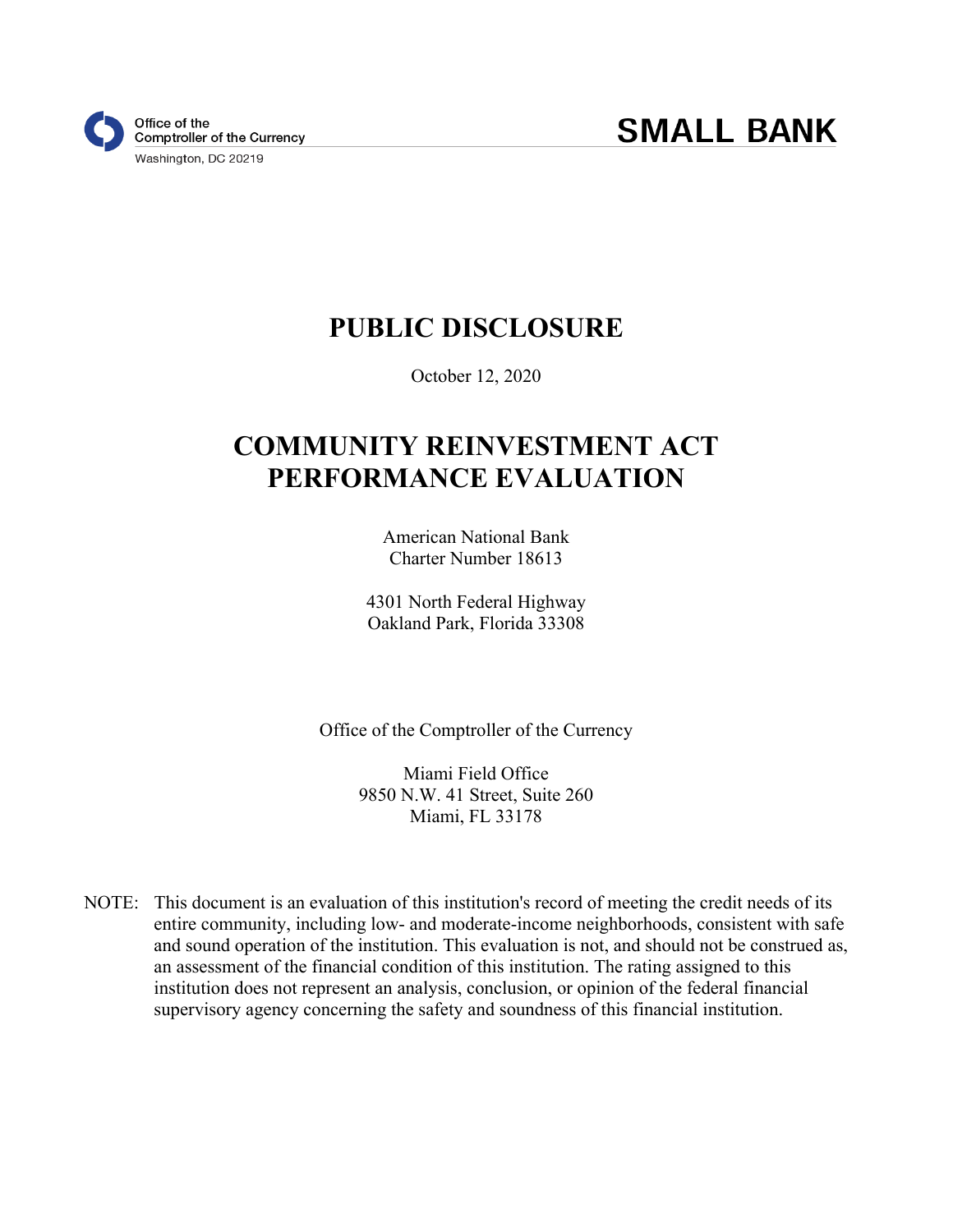# **PUBLIC DISCLOSURE**

October 12, 2020

# **COMMUNITY REINVESTMENT ACT PERFORMANCE EVALUATION**

American National Bank Charter Number 18613

4301 North Federal Highway Oakland Park, Florida 33308

Office of the Comptroller of the Currency

Miami Field Office 9850 N.W. 41 Street, Suite 260 Miami, FL 33178

NOTE: This document is an evaluation of this institution's record of meeting the credit needs of its entire community, including low- and moderate-income neighborhoods, consistent with safe and sound operation of the institution. This evaluation is not, and should not be construed as, an assessment of the financial condition of this institution. The rating assigned to this institution does not represent an analysis, conclusion, or opinion of the federal financial supervisory agency concerning the safety and soundness of this financial institution.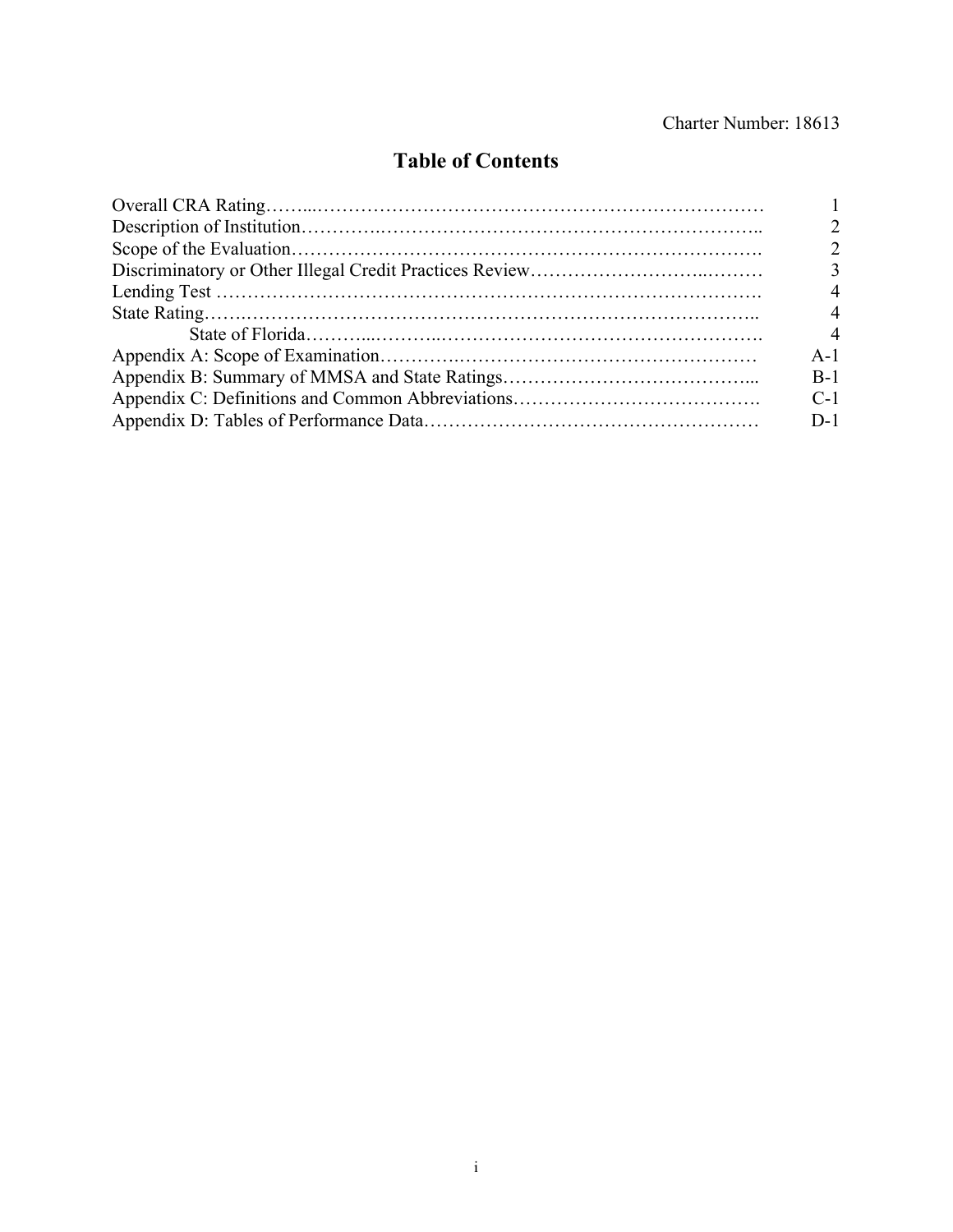#### Charter Number: 18613

## **Table of Contents**

| $\mathbf 3$    |
|----------------|
|                |
| 4              |
| $\overline{4}$ |
| $A-1$          |
| $B-1$          |
| $C-1$          |
| $D-1$          |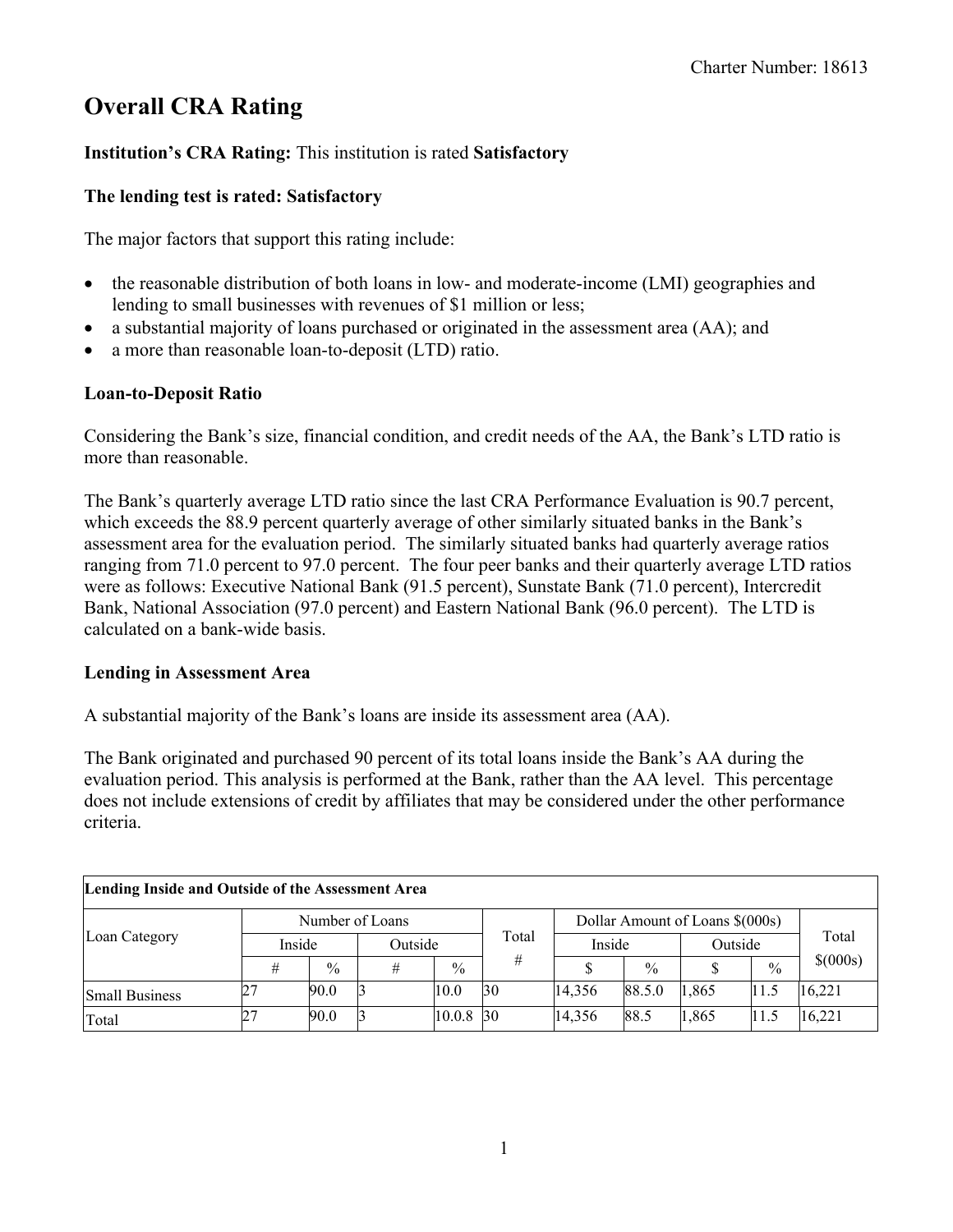## **Overall CRA Rating**

#### **Institution's CRA Rating:** This institution is rated **Satisfactory**

#### **The lending test is rated: Satisfactory**

The major factors that support this rating include:

- the reasonable distribution of both loans in low- and moderate-income (LMI) geographies and lending to small businesses with revenues of \$1 million or less;
- a substantial majority of loans purchased or originated in the assessment area (AA); and
- a more than reasonable loan-to-deposit (LTD) ratio.

#### **Loan-to-Deposit Ratio**

Considering the Bank's size, financial condition, and credit needs of the AA, the Bank's LTD ratio is more than reasonable.

The Bank's quarterly average LTD ratio since the last CRA Performance Evaluation is 90.7 percent, which exceeds the 88.9 percent quarterly average of other similarly situated banks in the Bank's assessment area for the evaluation period. The similarly situated banks had quarterly average ratios ranging from 71.0 percent to 97.0 percent. The four peer banks and their quarterly average LTD ratios were as follows: Executive National Bank (91.5 percent), Sunstate Bank (71.0 percent), Intercredit Bank, National Association (97.0 percent) and Eastern National Bank (96.0 percent). The LTD is calculated on a bank-wide basis.

#### **Lending in Assessment Area**

A substantial majority of the Bank's loans are inside its assessment area (AA).

The Bank originated and purchased 90 percent of its total loans inside the Bank's AA during the evaluation period. This analysis is performed at the Bank, rather than the AA level. This percentage does not include extensions of credit by affiliates that may be considered under the other performance criteria.

| Lending Inside and Outside of the Assessment Area |        |               |                 |               |                 |                                 |               |         |               |              |
|---------------------------------------------------|--------|---------------|-----------------|---------------|-----------------|---------------------------------|---------------|---------|---------------|--------------|
| Loan Category                                     |        |               | Number of Loans |               |                 | Dollar Amount of Loans \$(000s) | Total         |         |               |              |
|                                                   | Inside |               | Outside         |               | Total           | Inside                          |               | Outside |               |              |
|                                                   | #      | $\frac{0}{0}$ | #               | $\frac{0}{0}$ | #               |                                 | $\frac{0}{0}$ |         | $\frac{0}{0}$ | $$^{(000s)}$ |
| <b>Small Business</b>                             |        | 90.0          |                 | 10.0          | 30              | 14,356                          | 88.5.0        | 1,865   | 11.5          | 16,221       |
| Total                                             | 27     | 90.0          |                 | 10.0.8        | $\overline{30}$ | 14,356                          | 88.5          | 1,865   | 11.5          | 16,221       |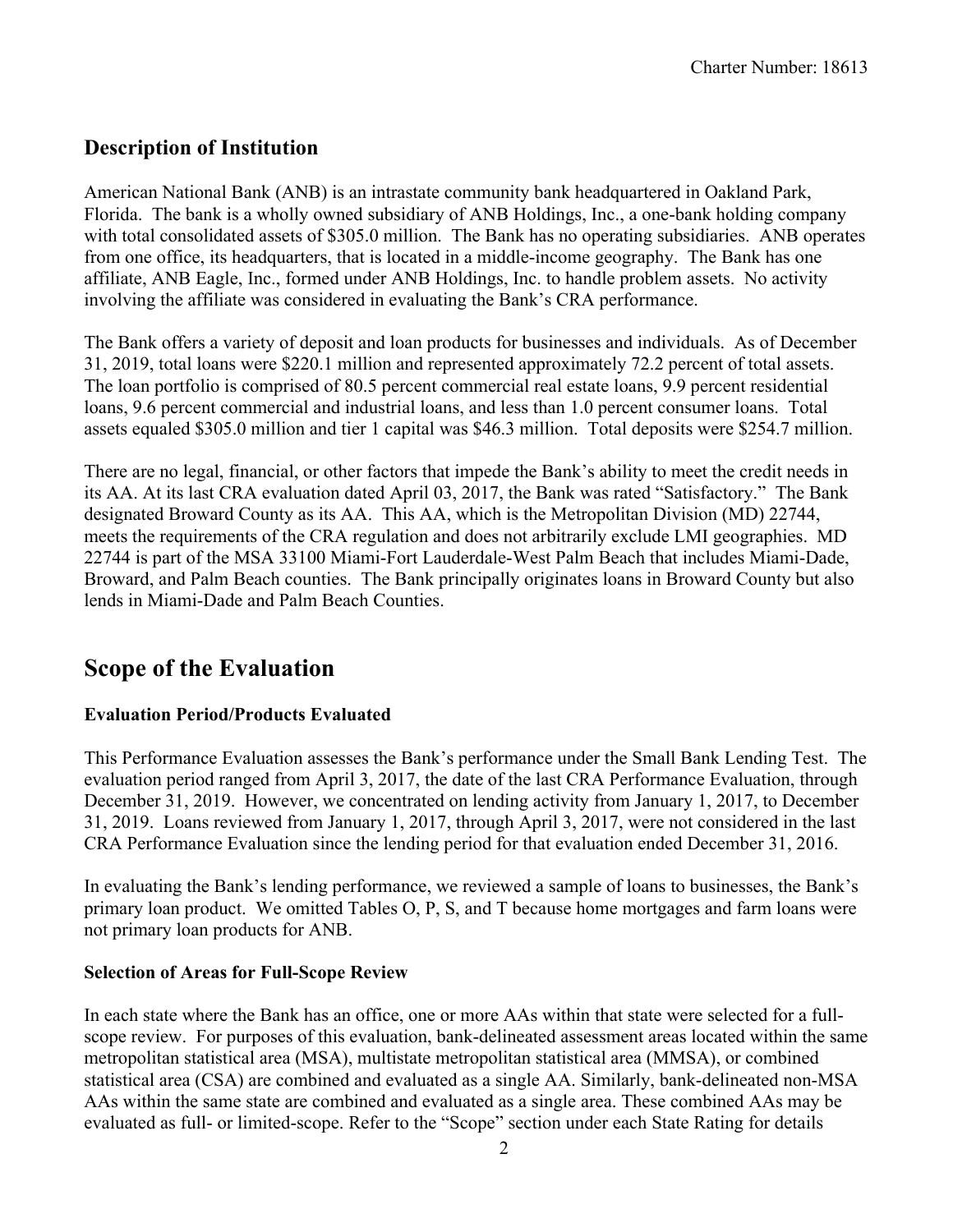### <span id="page-3-0"></span>**Description of Institution**

American National Bank (ANB) is an intrastate community bank headquartered in Oakland Park, Florida. The bank is a wholly owned subsidiary of ANB Holdings, Inc., a one-bank holding company with total consolidated assets of \$305.0 million. The Bank has no operating subsidiaries. ANB operates from one office, its headquarters, that is located in a middle-income geography. The Bank has one affiliate, ANB Eagle, Inc., formed under ANB Holdings, Inc. to handle problem assets. No activity involving the affiliate was considered in evaluating the Bank's CRA performance.

The Bank offers a variety of deposit and loan products for businesses and individuals. As of December 31, 2019, total loans were \$220.1 million and represented approximately 72.2 percent of total assets. The loan portfolio is comprised of 80.5 percent commercial real estate loans, 9.9 percent residential loans, 9.6 percent commercial and industrial loans, and less than 1.0 percent consumer loans. Total assets equaled \$305.0 million and tier 1 capital was \$46.3 million. Total deposits were \$254.7 million.

There are no legal, financial, or other factors that impede the Bank's ability to meet the credit needs in its AA. At its last CRA evaluation dated April 03, 2017, the Bank was rated "Satisfactory." The Bank designated Broward County as its AA. This AA, which is the Metropolitan Division (MD) 22744, meets the requirements of the CRA regulation and does not arbitrarily exclude LMI geographies. MD 22744 is part of the MSA 33100 Miami-Fort Lauderdale-West Palm Beach that includes Miami-Dade, Broward, and Palm Beach counties. The Bank principally originates loans in Broward County but also lends in Miami-Dade and Palm Beach Counties.

## **Scope of the Evaluation**

#### **Evaluation Period/Products Evaluated**

This Performance Evaluation assesses the Bank's performance under the Small Bank Lending Test. The evaluation period ranged from April 3, 2017, the date of the last CRA Performance Evaluation, through December 31, 2019. However, we concentrated on lending activity from January 1, 2017, to December 31, 2019. Loans reviewed from January 1, 2017, through April 3, 2017, were not considered in the last CRA Performance Evaluation since the lending period for that evaluation ended December 31, 2016.

In evaluating the Bank's lending performance, we reviewed a sample of loans to businesses, the Bank's primary loan product. We omitted Tables O, P, S, and T because home mortgages and farm loans were not primary loan products for ANB.

#### **Selection of Areas for Full-Scope Review**

In each state where the Bank has an office, one or more AAs within that state were selected for a fullscope review. For purposes of this evaluation, bank-delineated assessment areas located within the same metropolitan statistical area (MSA), multistate metropolitan statistical area (MMSA), or combined statistical area (CSA) are combined and evaluated as a single AA. Similarly, bank-delineated non-MSA AAs within the same state are combined and evaluated as a single area. These combined AAs may be evaluated as full- or limited-scope. Refer to the "Scope" section under each State Rating for details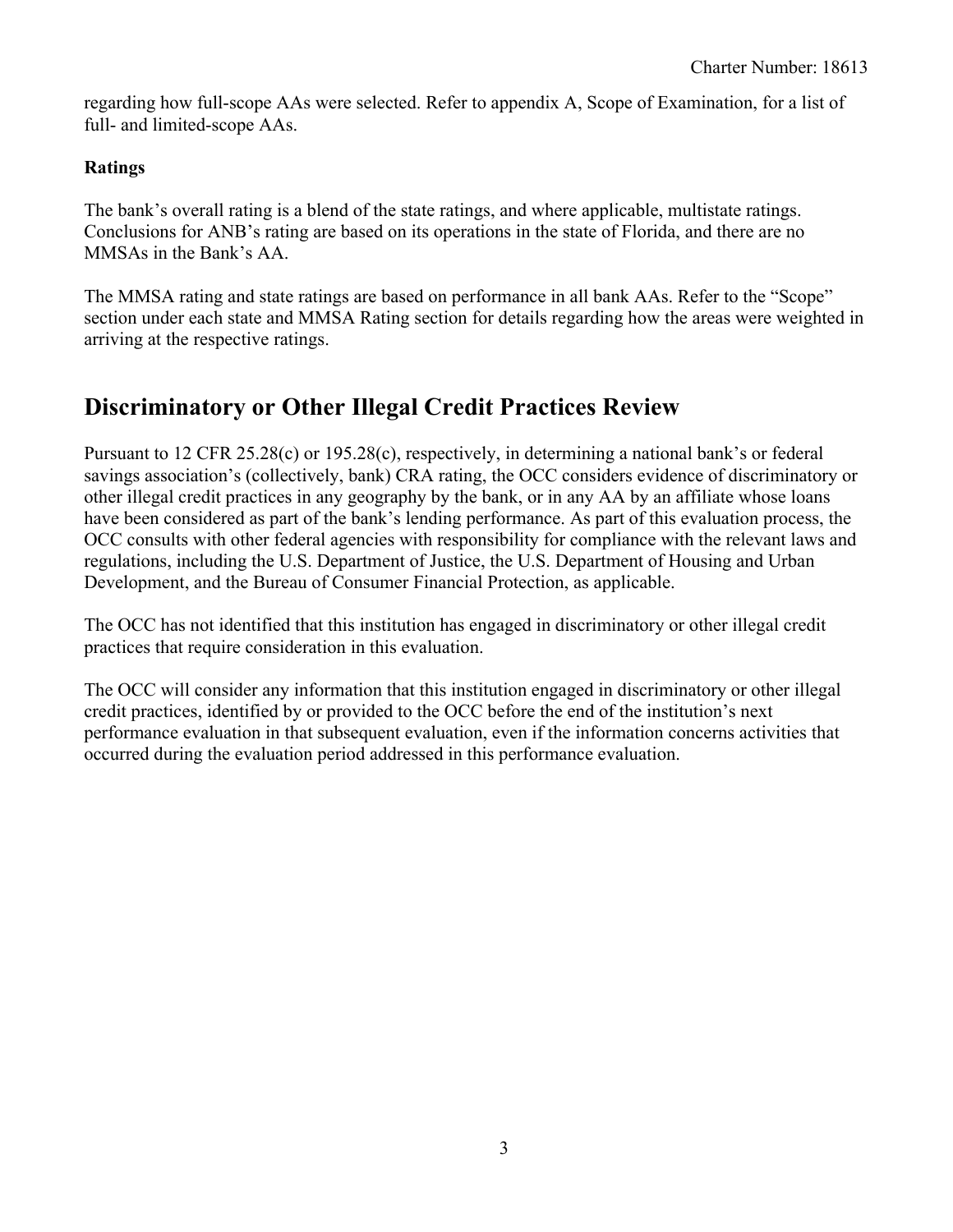<span id="page-4-0"></span>regarding how full-scope AAs were selected. Refer to appendix A, Scope of Examination, for a list of full- and limited-scope AAs.

#### **Ratings**

The bank's overall rating is a blend of the state ratings, and where applicable, multistate ratings. Conclusions for ANB's rating are based on its operations in the state of Florida, and there are no MMSAs in the Bank's AA.

The MMSA rating and state ratings are based on performance in all bank AAs. Refer to the "Scope" section under each state and MMSA Rating section for details regarding how the areas were weighted in arriving at the respective ratings.

## **Discriminatory or Other Illegal Credit Practices Review**

Pursuant to 12 CFR 25.28(c) or 195.28(c), respectively, in determining a national bank's or federal savings association's (collectively, bank) CRA rating, the OCC considers evidence of discriminatory or other illegal credit practices in any geography by the bank, or in any AA by an affiliate whose loans have been considered as part of the bank's lending performance. As part of this evaluation process, the OCC consults with other federal agencies with responsibility for compliance with the relevant laws and regulations, including the U.S. Department of Justice, the U.S. Department of Housing and Urban Development, and the Bureau of Consumer Financial Protection, as applicable.

The OCC has not identified that this institution has engaged in discriminatory or other illegal credit practices that require consideration in this evaluation.

The OCC will consider any information that this institution engaged in discriminatory or other illegal credit practices, identified by or provided to the OCC before the end of the institution's next performance evaluation in that subsequent evaluation, even if the information concerns activities that occurred during the evaluation period addressed in this performance evaluation.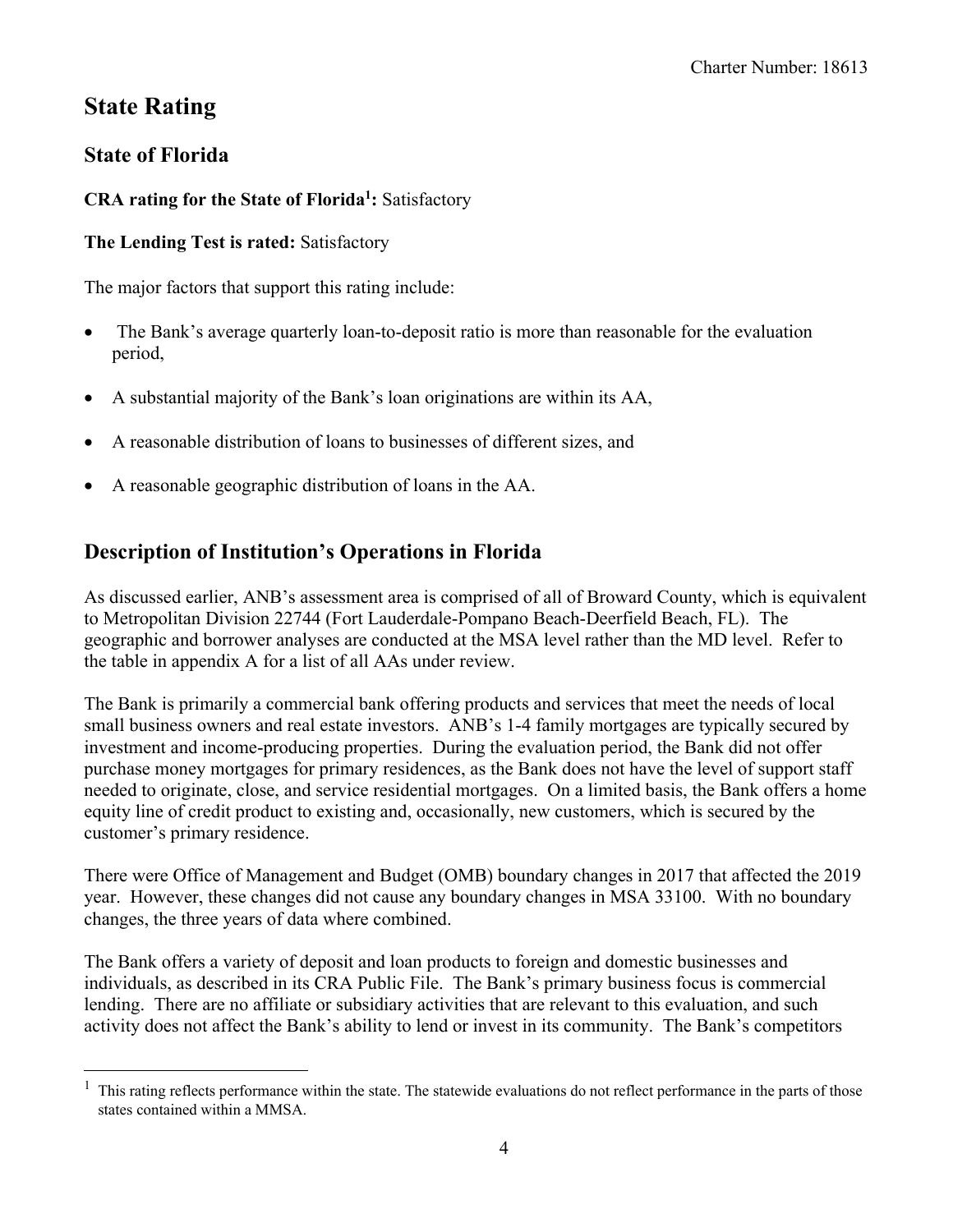## <span id="page-5-0"></span>**State Rating**

### **State of Florida**

### **CRA rating for the State of Florida1 :** Satisfactory

#### **The Lending Test is rated:** Satisfactory

The major factors that support this rating include:

- The Bank's average quarterly loan-to-deposit ratio is more than reasonable for the evaluation period,
- A substantial majority of the Bank's loan originations are within its AA,
- A reasonable distribution of loans to businesses of different sizes, and
- A reasonable geographic distribution of loans in the AA.

## **Description of Institution's Operations in Florida**

As discussed earlier, ANB's assessment area is comprised of all of Broward County, which is equivalent to Metropolitan Division 22744 (Fort Lauderdale-Pompano Beach-Deerfield Beach, FL). The geographic and borrower analyses are conducted at the MSA level rather than the MD level. Refer to the table in appendix A for a list of all AAs under review.

The Bank is primarily a commercial bank offering products and services that meet the needs of local small business owners and real estate investors. ANB's 1-4 family mortgages are typically secured by investment and income-producing properties. During the evaluation period, the Bank did not offer purchase money mortgages for primary residences, as the Bank does not have the level of support staff needed to originate, close, and service residential mortgages. On a limited basis, the Bank offers a home equity line of credit product to existing and, occasionally, new customers, which is secured by the customer's primary residence.

 changes, the three years of data where combined. There were Office of Management and Budget (OMB) boundary changes in 2017 that affected the 2019 year. However, these changes did not cause any boundary changes in MSA 33100. With no boundary

The Bank offers a variety of deposit and loan products to foreign and domestic businesses and individuals, as described in its CRA Public File. The Bank's primary business focus is commercial lending. There are no affiliate or subsidiary activities that are relevant to this evaluation, and such activity does not affect the Bank's ability to lend or invest in its community. The Bank's competitors

 $1$ . This rating reflects performance within the state. The statewide evaluations do not reflect performance in the parts of those states contained within a MMSA.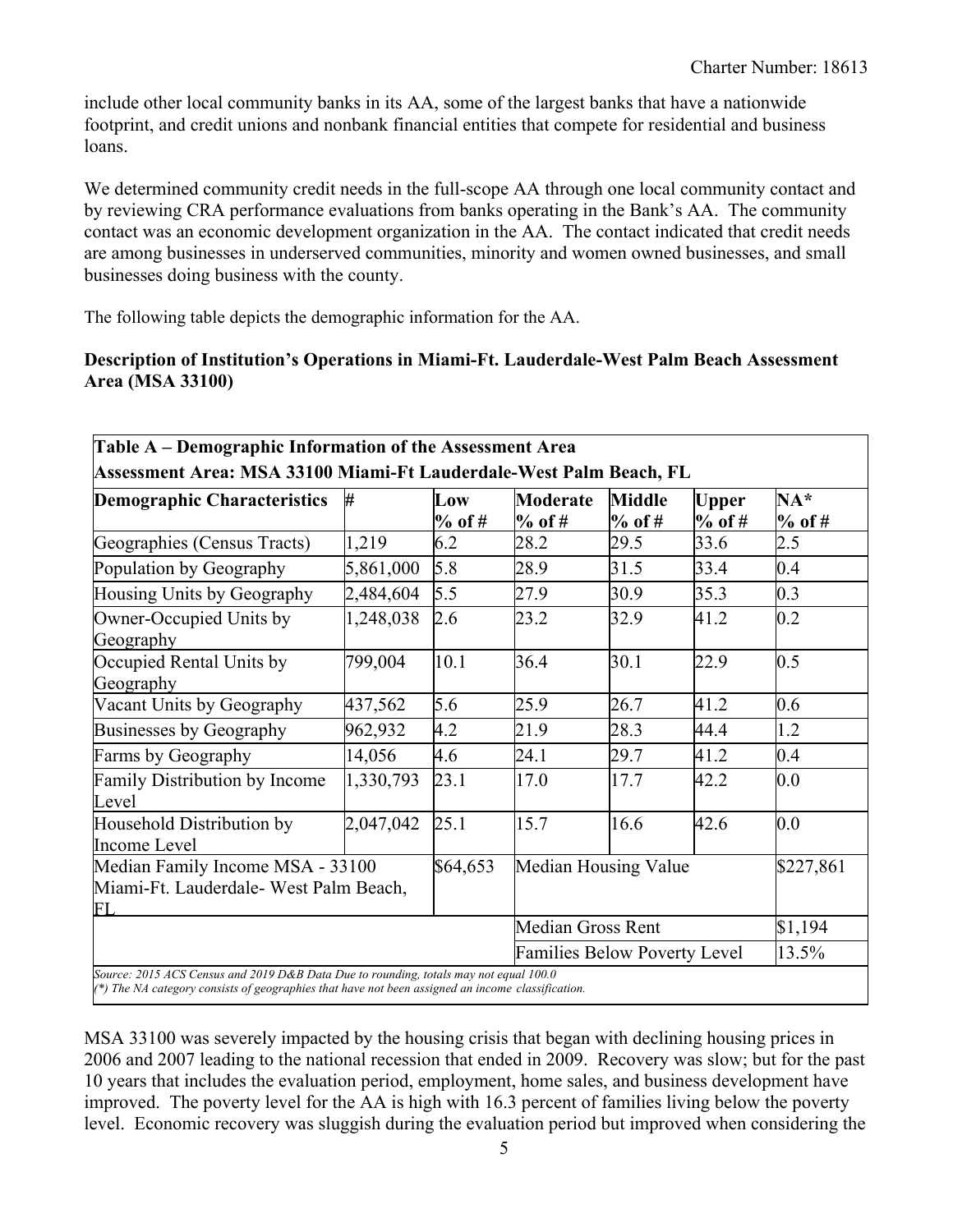include other local community banks in its AA, some of the largest banks that have a nationwide footprint, and credit unions and nonbank financial entities that compete for residential and business loans.

We determined community credit needs in the full-scope AA through one local community contact and by reviewing CRA performance evaluations from banks operating in the Bank's AA. The community contact was an economic development organization in the AA. The contact indicated that credit needs are among businesses in underserved communities, minority and women owned businesses, and small businesses doing business with the county.

The following table depicts the demographic information for the AA.

#### **Description of Institution's Operations in Miami-Ft. Lauderdale-West Palm Beach Assessment Area (MSA 33100)**

| Table A – Demographic Information of the Assessment Area                                                                                                                                   |           |               |                                     |                           |                          |                   |  |  |  |  |
|--------------------------------------------------------------------------------------------------------------------------------------------------------------------------------------------|-----------|---------------|-------------------------------------|---------------------------|--------------------------|-------------------|--|--|--|--|
| Assessment Area: MSA 33100 Miami-Ft Lauderdale-West Palm Beach, FL                                                                                                                         |           |               |                                     |                           |                          |                   |  |  |  |  |
| <b>Demographic Characteristics</b>                                                                                                                                                         | ₩         | Low<br>% of # | Moderate<br>$%$ of #                | <b>Middle</b><br>$%$ of # | <b>Upper</b><br>$%$ of # | $NA*$<br>$%$ of # |  |  |  |  |
| Geographies (Census Tracts)                                                                                                                                                                | 1,219     | 6.2           | 28.2                                | 29.5                      | 33.6                     | 2.5               |  |  |  |  |
| Population by Geography                                                                                                                                                                    | 5,861,000 | 5.8           | 28.9                                | 31.5                      | 33.4                     | 0.4               |  |  |  |  |
| Housing Units by Geography                                                                                                                                                                 | 2,484,604 | 5.5           | 27.9                                | 30.9                      | 35.3                     | 0.3               |  |  |  |  |
| Owner-Occupied Units by<br>Geography                                                                                                                                                       | 1,248,038 | 2.6           | 23.2                                | 32.9                      | 41.2                     | 0.2               |  |  |  |  |
| Occupied Rental Units by<br>Geography                                                                                                                                                      | 799,004   | 10.1          | 36.4                                | 30.1                      | 22.9                     | 0.5               |  |  |  |  |
| Vacant Units by Geography                                                                                                                                                                  | 437,562   | 5.6           | 25.9                                | 26.7                      | 41.2                     | 0.6               |  |  |  |  |
| Businesses by Geography                                                                                                                                                                    | 962,932   | 4.2           | 21.9                                | 28.3                      | 44.4                     | 1.2               |  |  |  |  |
| Farms by Geography                                                                                                                                                                         | 14,056    | 4.6           | 24.1                                | 29.7                      | 41.2                     | 0.4               |  |  |  |  |
| Family Distribution by Income<br>Level                                                                                                                                                     | 1,330,793 | 23.1          | 17.0                                | 17.7                      | 42.2                     | 0.0               |  |  |  |  |
| Household Distribution by<br>Income Level                                                                                                                                                  | 2,047,042 | 25.1          | 15.7                                | 16.6                      | 42.6                     | 0.0               |  |  |  |  |
| Median Family Income MSA - 33100<br>Miami-Ft. Lauderdale- West Palm Beach,<br>FI                                                                                                           |           | \$64,653      | Median Housing Value                |                           |                          | \$227,861         |  |  |  |  |
|                                                                                                                                                                                            |           |               | <b>Median Gross Rent</b>            | \$1,194                   |                          |                   |  |  |  |  |
|                                                                                                                                                                                            |           |               | <b>Families Below Poverty Level</b> | 13.5%                     |                          |                   |  |  |  |  |
| Source: 2015 ACS Census and 2019 D&B Data Due to rounding, totals may not equal 100.0<br>(*) The NA category consists of geographies that have not been assigned an income classification. |           |               |                                     |                           |                          |                   |  |  |  |  |

MSA 33100 was severely impacted by the housing crisis that began with declining housing prices in 2006 and 2007 leading to the national recession that ended in 2009. Recovery was slow; but for the past 10 years that includes the evaluation period, employment, home sales, and business development have improved. The poverty level for the AA is high with 16.3 percent of families living below the poverty level. Economic recovery was sluggish during the evaluation period but improved when considering the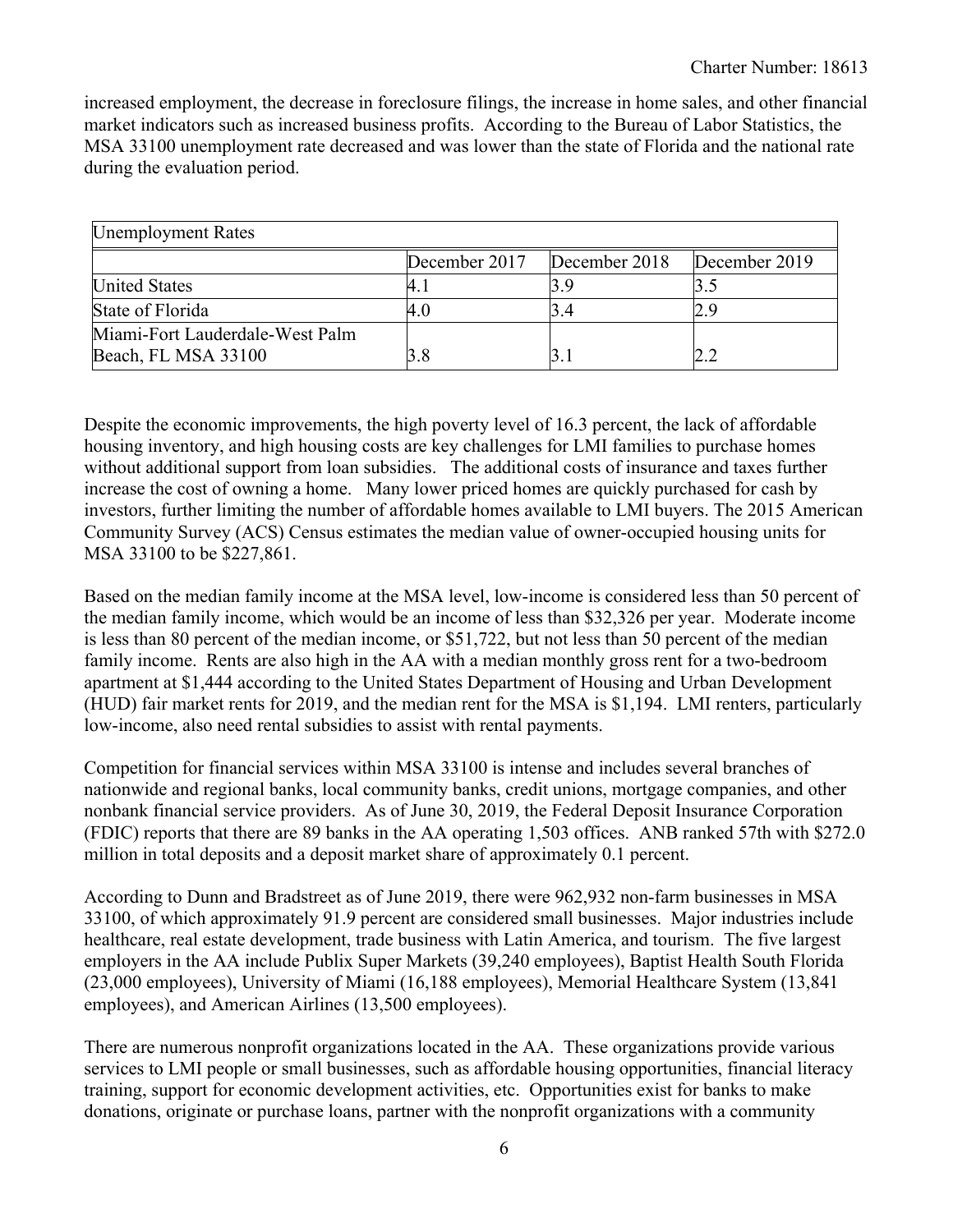increased employment, the decrease in foreclosure filings, the increase in home sales, and other financial market indicators such as increased business profits. According to the Bureau of Labor Statistics, the MSA 33100 unemployment rate decreased and was lower than the state of Florida and the national rate during the evaluation period.

| <b>Unemployment Rates</b>                              |               |               |               |  |  |  |  |  |  |  |
|--------------------------------------------------------|---------------|---------------|---------------|--|--|--|--|--|--|--|
|                                                        | December 2017 | December 2018 | December 2019 |  |  |  |  |  |  |  |
| <b>United States</b>                                   |               |               |               |  |  |  |  |  |  |  |
| State of Florida                                       |               |               |               |  |  |  |  |  |  |  |
| Miami-Fort Lauderdale-West Palm<br>Beach, FL MSA 33100 |               |               |               |  |  |  |  |  |  |  |

Despite the economic improvements, the high poverty level of 16.3 percent, the lack of affordable housing inventory, and high housing costs are key challenges for LMI families to purchase homes without additional support from loan subsidies. The additional costs of insurance and taxes further increase the cost of owning a home. Many lower priced homes are quickly purchased for cash by investors, further limiting the number of affordable homes available to LMI buyers. The 2015 American Community Survey (ACS) Census estimates the median value of owner-occupied housing units for MSA 33100 to be \$227,861.

Based on the median family income at the MSA level, low-income is considered less than 50 percent of the median family income, which would be an income of less than \$32,326 per year. Moderate income is less than 80 percent of the median income, or \$51,722, but not less than 50 percent of the median family income. Rents are also high in the AA with a median monthly gross rent for a two-bedroom apartment at \$1,444 according to the United States Department of Housing and Urban Development (HUD) fair market rents for 2019, and the median rent for the MSA is \$1,194. LMI renters, particularly low-income, also need rental subsidies to assist with rental payments.

Competition for financial services within MSA 33100 is intense and includes several branches of nationwide and regional banks, local community banks, credit unions, mortgage companies, and other nonbank financial service providers. As of June 30, 2019, the Federal Deposit Insurance Corporation (FDIC) reports that there are 89 banks in the AA operating 1,503 offices. ANB ranked 57th with \$272.0 million in total deposits and a deposit market share of approximately 0.1 percent.

According to Dunn and Bradstreet as of June 2019, there were 962,932 non-farm businesses in MSA 33100, of which approximately 91.9 percent are considered small businesses. Major industries include healthcare, real estate development, trade business with Latin America, and tourism. The five largest employers in the AA include Publix Super Markets (39,240 employees), Baptist Health South Florida (23,000 employees), University of Miami (16,188 employees), Memorial Healthcare System (13,841 employees), and American Airlines (13,500 employees).

There are numerous nonprofit organizations located in the AA. These organizations provide various services to LMI people or small businesses, such as affordable housing opportunities, financial literacy training, support for economic development activities, etc. Opportunities exist for banks to make donations, originate or purchase loans, partner with the nonprofit organizations with a community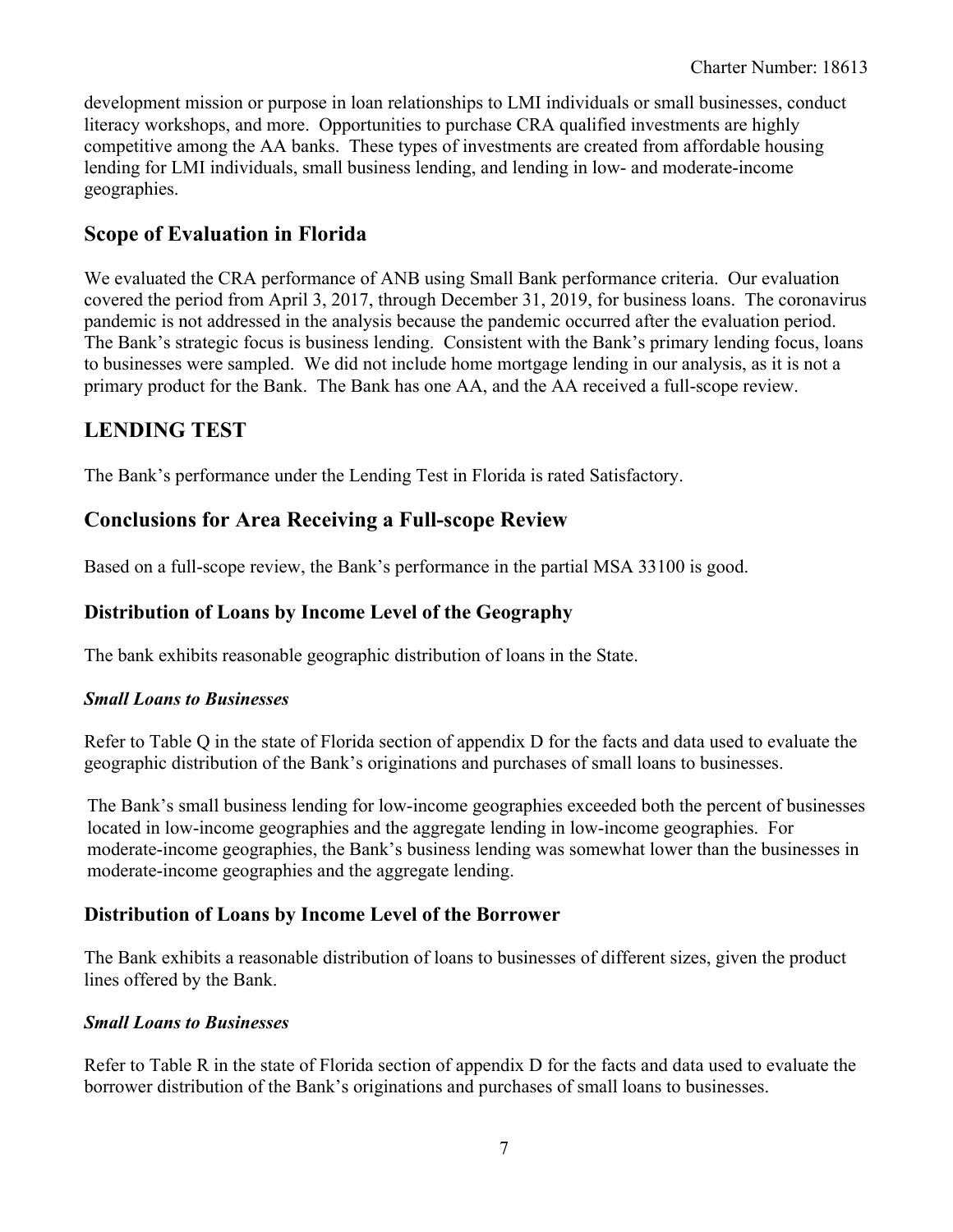development mission or purpose in loan relationships to LMI individuals or small businesses, conduct literacy workshops, and more. Opportunities to purchase CRA qualified investments are highly competitive among the AA banks. These types of investments are created from affordable housing lending for LMI individuals, small business lending, and lending in low- and moderate-income geographies.

### **Scope of Evaluation in Florida**

We evaluated the CRA performance of ANB using Small Bank performance criteria. Our evaluation covered the period from April 3, 2017, through December 31, 2019, for business loans. The coronavirus pandemic is not addressed in the analysis because the pandemic occurred after the evaluation period. The Bank's strategic focus is business lending. Consistent with the Bank's primary lending focus, loans to businesses were sampled. We did not include home mortgage lending in our analysis, as it is not a primary product for the Bank. The Bank has one AA, and the AA received a full-scope review.

## **LENDING TEST**

The Bank's performance under the Lending Test in Florida is rated Satisfactory.

### **Conclusions for Area Receiving a Full-scope Review**

Based on a full-scope review, the Bank's performance in the partial MSA 33100 is good.

### **Distribution of Loans by Income Level of the Geography**

The bank exhibits reasonable geographic distribution of loans in the State.

#### *Small Loans to Businesses*

Refer to Table Q in the state of Florida section of appendix D for the facts and data used to evaluate the geographic distribution of the Bank's originations and purchases of small loans to businesses.

The Bank's small business lending for low-income geographies exceeded both the percent of businesses located in low-income geographies and the aggregate lending in low-income geographies. For moderate-income geographies, the Bank's business lending was somewhat lower than the businesses in moderate-income geographies and the aggregate lending.

### **Distribution of Loans by Income Level of the Borrower**

The Bank exhibits a reasonable distribution of loans to businesses of different sizes, given the product lines offered by the Bank.

#### *Small Loans to Businesses*

Refer to Table R in the state of Florida section of appendix D for the facts and data used to evaluate the borrower distribution of the Bank's originations and purchases of small loans to businesses.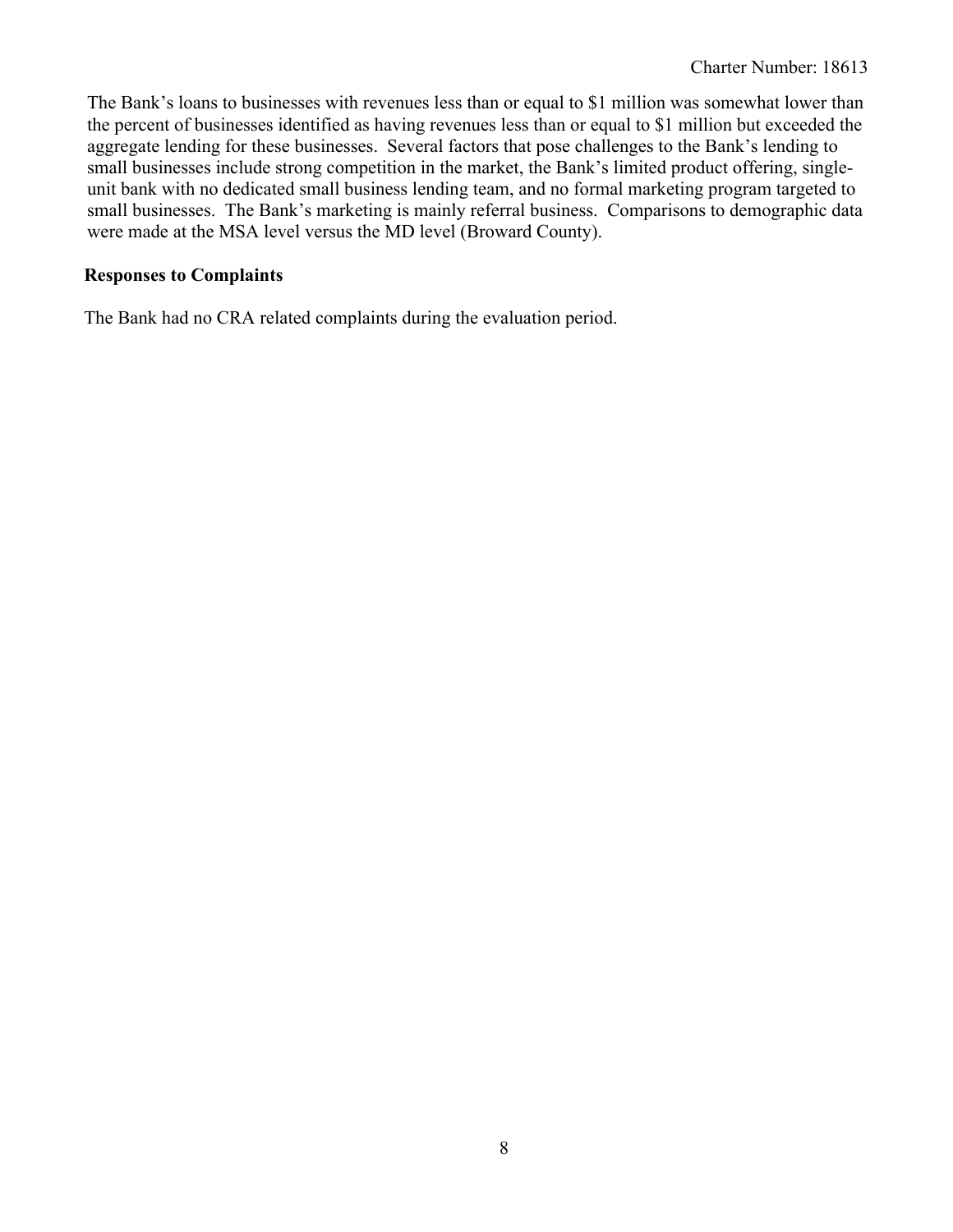The Bank's loans to businesses with revenues less than or equal to \$1 million was somewhat lower than the percent of businesses identified as having revenues less than or equal to \$1 million but exceeded the aggregate lending for these businesses. Several factors that pose challenges to the Bank's lending to small businesses include strong competition in the market, the Bank's limited product offering, singleunit bank with no dedicated small business lending team, and no formal marketing program targeted to small businesses. The Bank's marketing is mainly referral business. Comparisons to demographic data were made at the MSA level versus the MD level (Broward County).

#### **Responses to Complaints**

The Bank had no CRA related complaints during the evaluation period.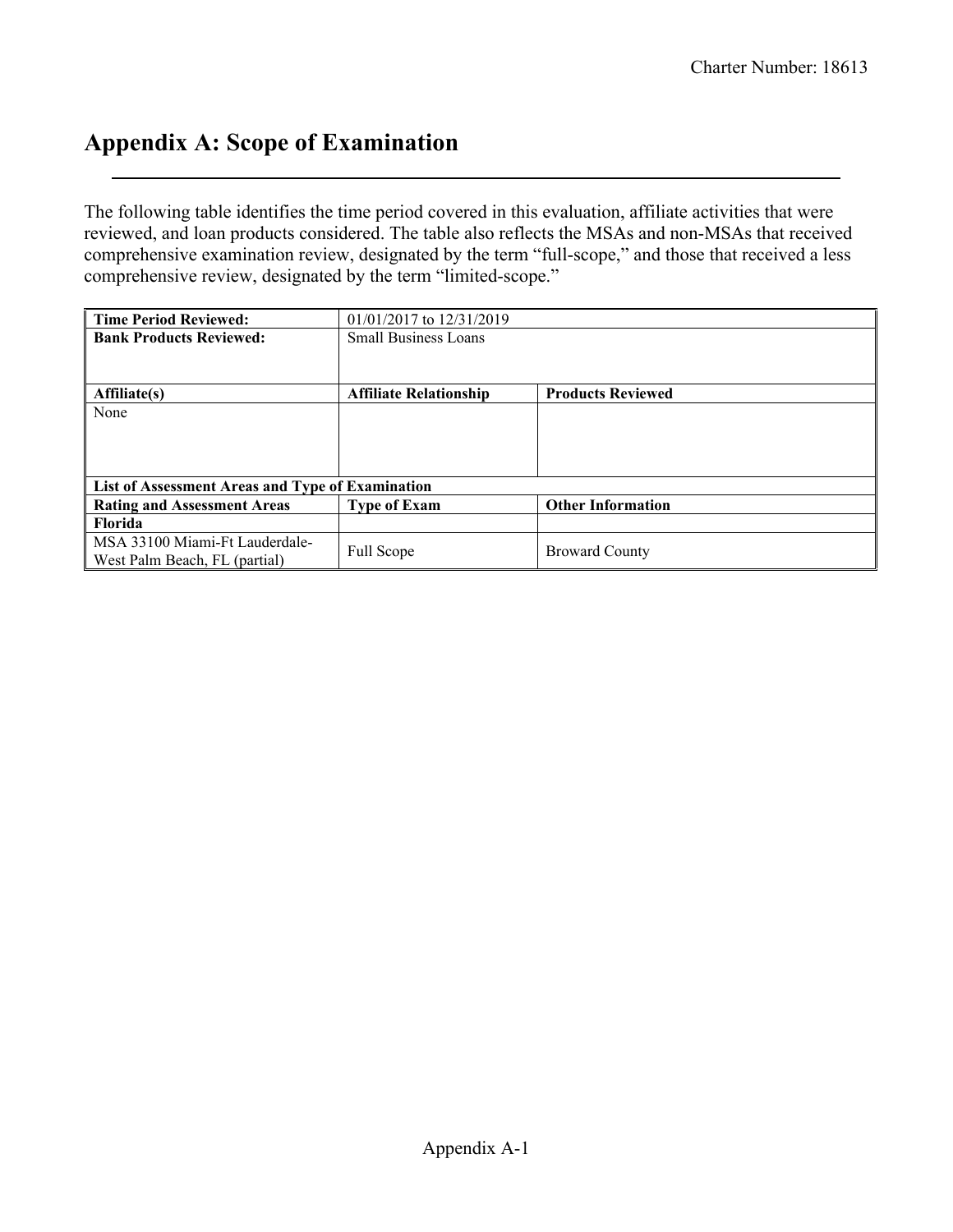## **Appendix A: Scope of Examination**

The following table identifies the time period covered in this evaluation, affiliate activities that were reviewed, and loan products considered. The table also reflects the MSAs and non-MSAs that received comprehensive examination review, designated by the term "full-scope," and those that received a less comprehensive review, designated by the term "limited-scope."

| <b>Time Period Reviewed:</b>                     | $01/01/2017$ to $12/31/2019$  |                          |
|--------------------------------------------------|-------------------------------|--------------------------|
| <b>Bank Products Reviewed:</b>                   | <b>Small Business Loans</b>   |                          |
|                                                  |                               |                          |
|                                                  |                               |                          |
| Affiliate(s)                                     | <b>Affiliate Relationship</b> | <b>Products Reviewed</b> |
| None                                             |                               |                          |
|                                                  |                               |                          |
|                                                  |                               |                          |
|                                                  |                               |                          |
| List of Assessment Areas and Type of Examination |                               |                          |
| <b>Rating and Assessment Areas</b>               | <b>Type of Exam</b>           | <b>Other Information</b> |
| <b>Florida</b>                                   |                               |                          |
| MSA 33100 Miami-Ft Lauderdale-                   |                               |                          |
| West Palm Beach, FL (partial)                    | Full Scope                    | <b>Broward County</b>    |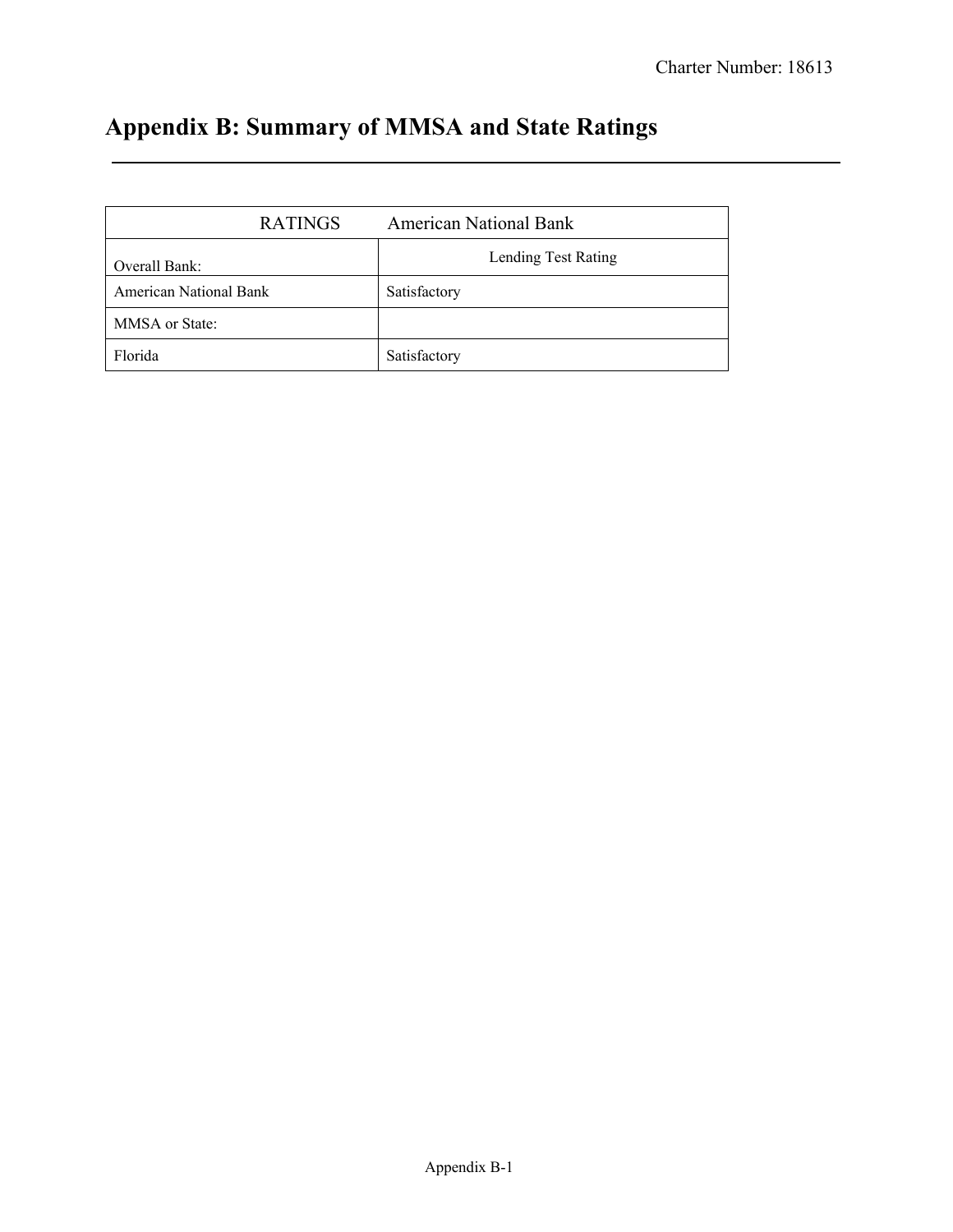# **Appendix B: Summary of MMSA and State Ratings**

| <b>RATINGS</b>         | <b>American National Bank</b> |
|------------------------|-------------------------------|
| Overall Bank:          | Lending Test Rating           |
| American National Bank | Satisfactory                  |
| MMSA or State:         |                               |
| Florida                | Satisfactory                  |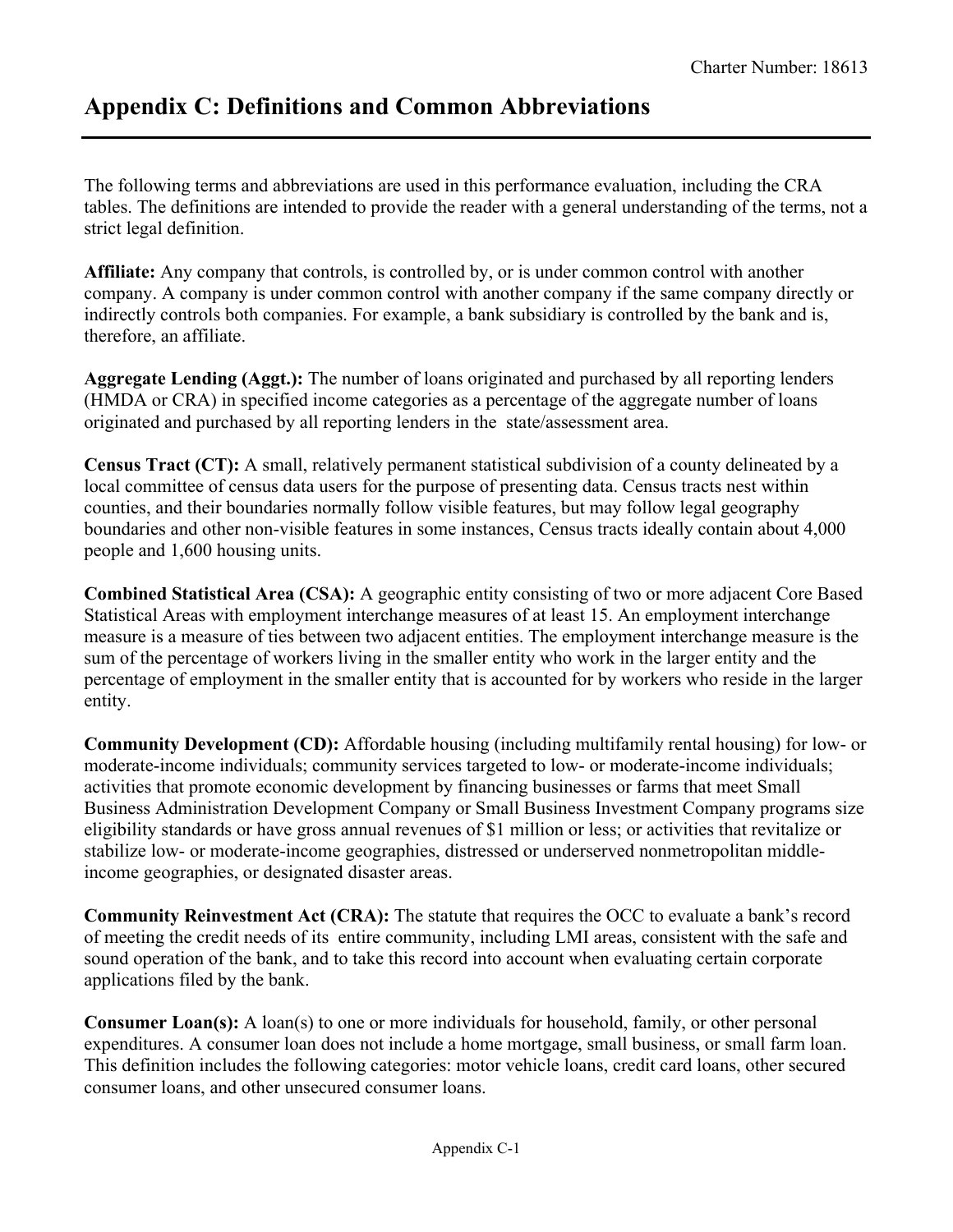## **Appendix C: Definitions and Common Abbreviations**

The following terms and abbreviations are used in this performance evaluation, including the CRA tables. The definitions are intended to provide the reader with a general understanding of the terms, not a strict legal definition.

**Affiliate:** Any company that controls, is controlled by, or is under common control with another company. A company is under common control with another company if the same company directly or indirectly controls both companies. For example, a bank subsidiary is controlled by the bank and is, therefore, an affiliate.

**Aggregate Lending (Aggt.):** The number of loans originated and purchased by all reporting lenders (HMDA or CRA) in specified income categories as a percentage of the aggregate number of loans originated and purchased by all reporting lenders in the state/assessment area.

**Census Tract (CT):** A small, relatively permanent statistical subdivision of a county delineated by a local committee of census data users for the purpose of presenting data. Census tracts nest within counties, and their boundaries normally follow visible features, but may follow legal geography boundaries and other non-visible features in some instances, Census tracts ideally contain about 4,000 people and 1,600 housing units.

**Combined Statistical Area (CSA):** A geographic entity consisting of two or more adjacent Core Based Statistical Areas with employment interchange measures of at least 15. An employment interchange measure is a measure of ties between two adjacent entities. The employment interchange measure is the sum of the percentage of workers living in the smaller entity who work in the larger entity and the percentage of employment in the smaller entity that is accounted for by workers who reside in the larger entity.

**Community Development (CD):** Affordable housing (including multifamily rental housing) for low- or moderate-income individuals; community services targeted to low- or moderate-income individuals; activities that promote economic development by financing businesses or farms that meet Small Business Administration Development Company or Small Business Investment Company programs size eligibility standards or have gross annual revenues of \$1 million or less; or activities that revitalize or stabilize low- or moderate-income geographies, distressed or underserved nonmetropolitan middleincome geographies, or designated disaster areas.

**Community Reinvestment Act (CRA):** The statute that requires the OCC to evaluate a bank's record of meeting the credit needs of its entire community, including LMI areas, consistent with the safe and sound operation of the bank, and to take this record into account when evaluating certain corporate applications filed by the bank.

**Consumer Loan(s):** A loan(s) to one or more individuals for household, family, or other personal expenditures. A consumer loan does not include a home mortgage, small business, or small farm loan. This definition includes the following categories: motor vehicle loans, credit card loans, other secured consumer loans, and other unsecured consumer loans.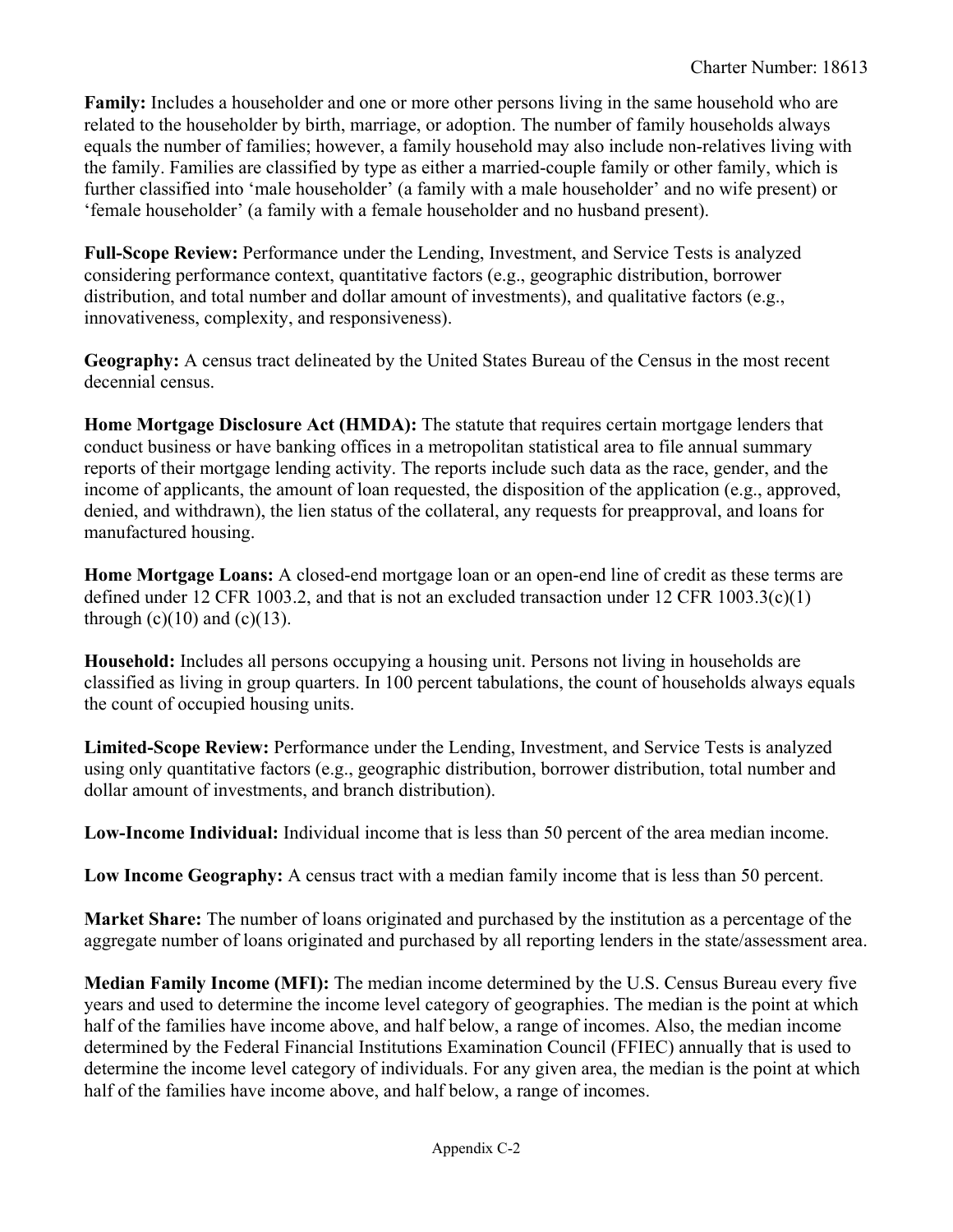**Family:** Includes a householder and one or more other persons living in the same household who are related to the householder by birth, marriage, or adoption. The number of family households always equals the number of families; however, a family household may also include non-relatives living with the family. Families are classified by type as either a married-couple family or other family, which is further classified into 'male householder' (a family with a male householder' and no wife present) or 'female householder' (a family with a female householder and no husband present).

**Full-Scope Review:** Performance under the Lending, Investment, and Service Tests is analyzed considering performance context, quantitative factors (e.g., geographic distribution, borrower distribution, and total number and dollar amount of investments), and qualitative factors (e.g., innovativeness, complexity, and responsiveness).

**Geography:** A census tract delineated by the United States Bureau of the Census in the most recent decennial census.

**Home Mortgage Disclosure Act (HMDA):** The statute that requires certain mortgage lenders that conduct business or have banking offices in a metropolitan statistical area to file annual summary reports of their mortgage lending activity. The reports include such data as the race, gender, and the income of applicants, the amount of loan requested, the disposition of the application (e.g., approved, denied, and withdrawn), the lien status of the collateral, any requests for preapproval, and loans for manufactured housing.

**Home Mortgage Loans:** A closed-end mortgage loan or an open-end line of credit as these terms are defined under 12 CFR 1003.2, and that is not an excluded transaction under 12 CFR 1003.3(c)(1) through  $(c)(10)$  and  $(c)(13)$ .

**Household:** Includes all persons occupying a housing unit. Persons not living in households are classified as living in group quarters. In 100 percent tabulations, the count of households always equals the count of occupied housing units.

**Limited-Scope Review:** Performance under the Lending, Investment, and Service Tests is analyzed using only quantitative factors (e.g., geographic distribution, borrower distribution, total number and dollar amount of investments, and branch distribution).

**Low-Income Individual:** Individual income that is less than 50 percent of the area median income.

**Low Income Geography:** A census tract with a median family income that is less than 50 percent.

**Market Share:** The number of loans originated and purchased by the institution as a percentage of the aggregate number of loans originated and purchased by all reporting lenders in the state/assessment area.

**Median Family Income (MFI):** The median income determined by the U.S. Census Bureau every five years and used to determine the income level category of geographies. The median is the point at which half of the families have income above, and half below, a range of incomes. Also, the median income determined by the Federal Financial Institutions Examination Council (FFIEC) annually that is used to determine the income level category of individuals. For any given area, the median is the point at which half of the families have income above, and half below, a range of incomes.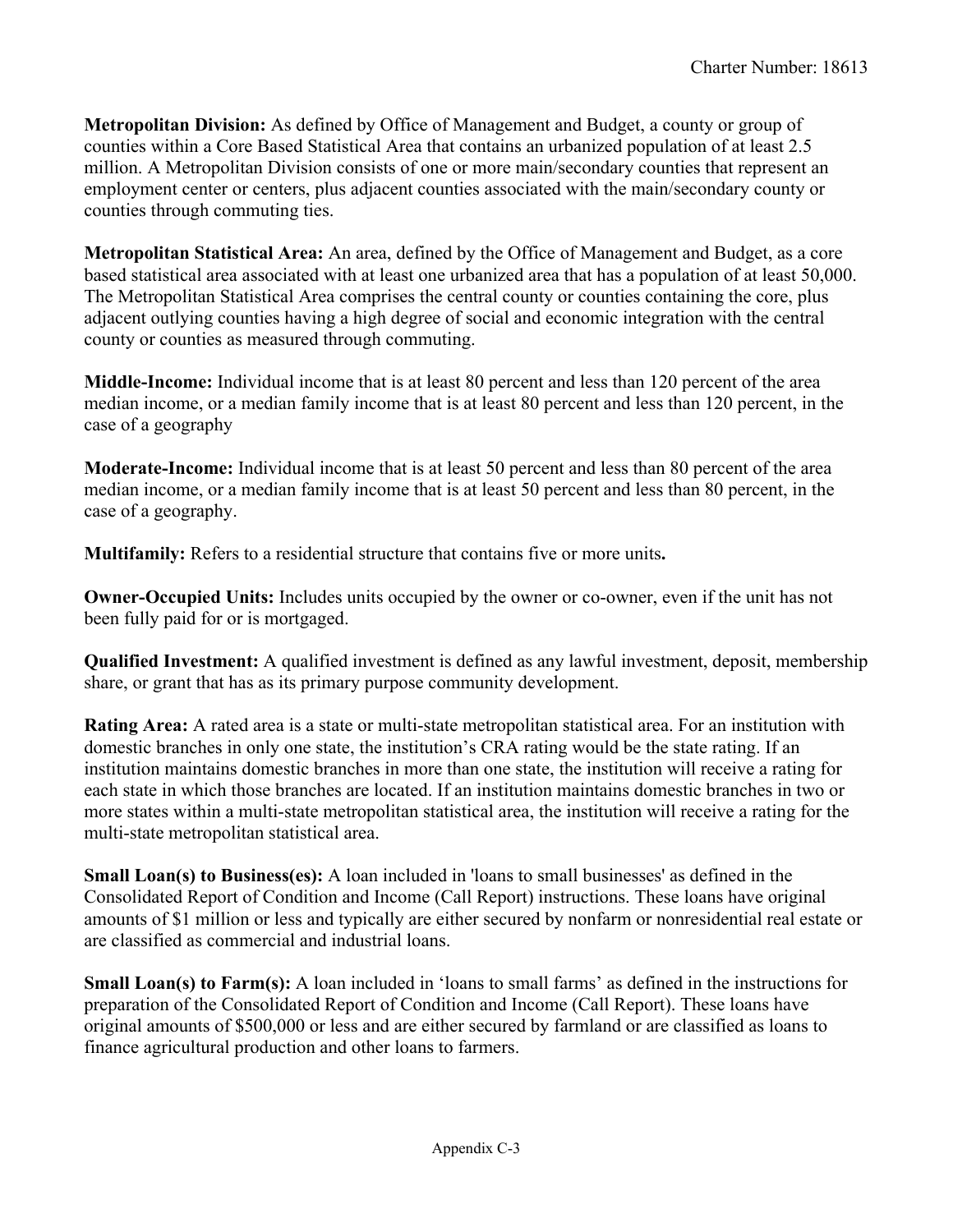**Metropolitan Division:** As defined by Office of Management and Budget, a county or group of counties within a Core Based Statistical Area that contains an urbanized population of at least 2.5 million. A Metropolitan Division consists of one or more main/secondary counties that represent an employment center or centers, plus adjacent counties associated with the main/secondary county or counties through commuting ties.

**Metropolitan Statistical Area:** An area, defined by the Office of Management and Budget, as a core based statistical area associated with at least one urbanized area that has a population of at least 50,000. The Metropolitan Statistical Area comprises the central county or counties containing the core, plus adjacent outlying counties having a high degree of social and economic integration with the central county or counties as measured through commuting.

**Middle-Income:** Individual income that is at least 80 percent and less than 120 percent of the area median income, or a median family income that is at least 80 percent and less than 120 percent, in the case of a geography

**Moderate-Income:** Individual income that is at least 50 percent and less than 80 percent of the area median income, or a median family income that is at least 50 percent and less than 80 percent, in the case of a geography.

**Multifamily:** Refers to a residential structure that contains five or more units**.** 

**Owner-Occupied Units:** Includes units occupied by the owner or co-owner, even if the unit has not been fully paid for or is mortgaged.

**Qualified Investment:** A qualified investment is defined as any lawful investment, deposit, membership share, or grant that has as its primary purpose community development.

**Rating Area:** A rated area is a state or multi-state metropolitan statistical area. For an institution with domestic branches in only one state, the institution's CRA rating would be the state rating. If an institution maintains domestic branches in more than one state, the institution will receive a rating for each state in which those branches are located. If an institution maintains domestic branches in two or more states within a multi-state metropolitan statistical area, the institution will receive a rating for the multi-state metropolitan statistical area.

 are classified as commercial and industrial loans. **Small Loan(s) to Business(es):** A loan included in 'loans to small businesses' as defined in the Consolidated Report of Condition and Income (Call Report) instructions. These loans have original amounts of \$1 million or less and typically are either secured by nonfarm or nonresidential real estate or

**Small Loan(s) to Farm(s):** A loan included in 'loans to small farms' as defined in the instructions for preparation of the Consolidated Report of Condition and Income (Call Report). These loans have original amounts of \$500,000 or less and are either secured by farmland or are classified as loans to finance agricultural production and other loans to farmers.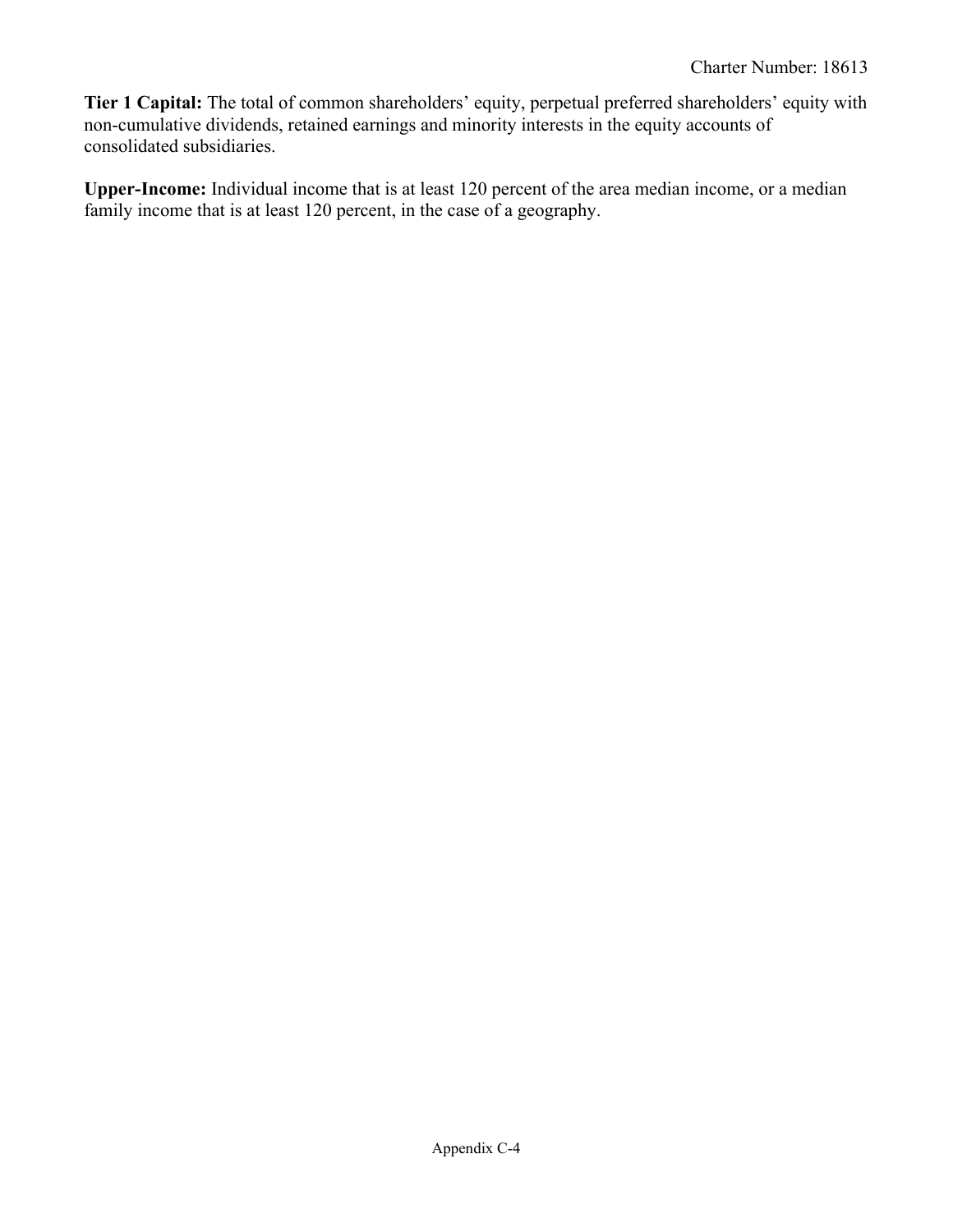**Tier 1 Capital:** The total of common shareholders' equity, perpetual preferred shareholders' equity with non-cumulative dividends, retained earnings and minority interests in the equity accounts of consolidated subsidiaries.

**Upper-Income:** Individual income that is at least 120 percent of the area median income, or a median family income that is at least 120 percent, in the case of a geography.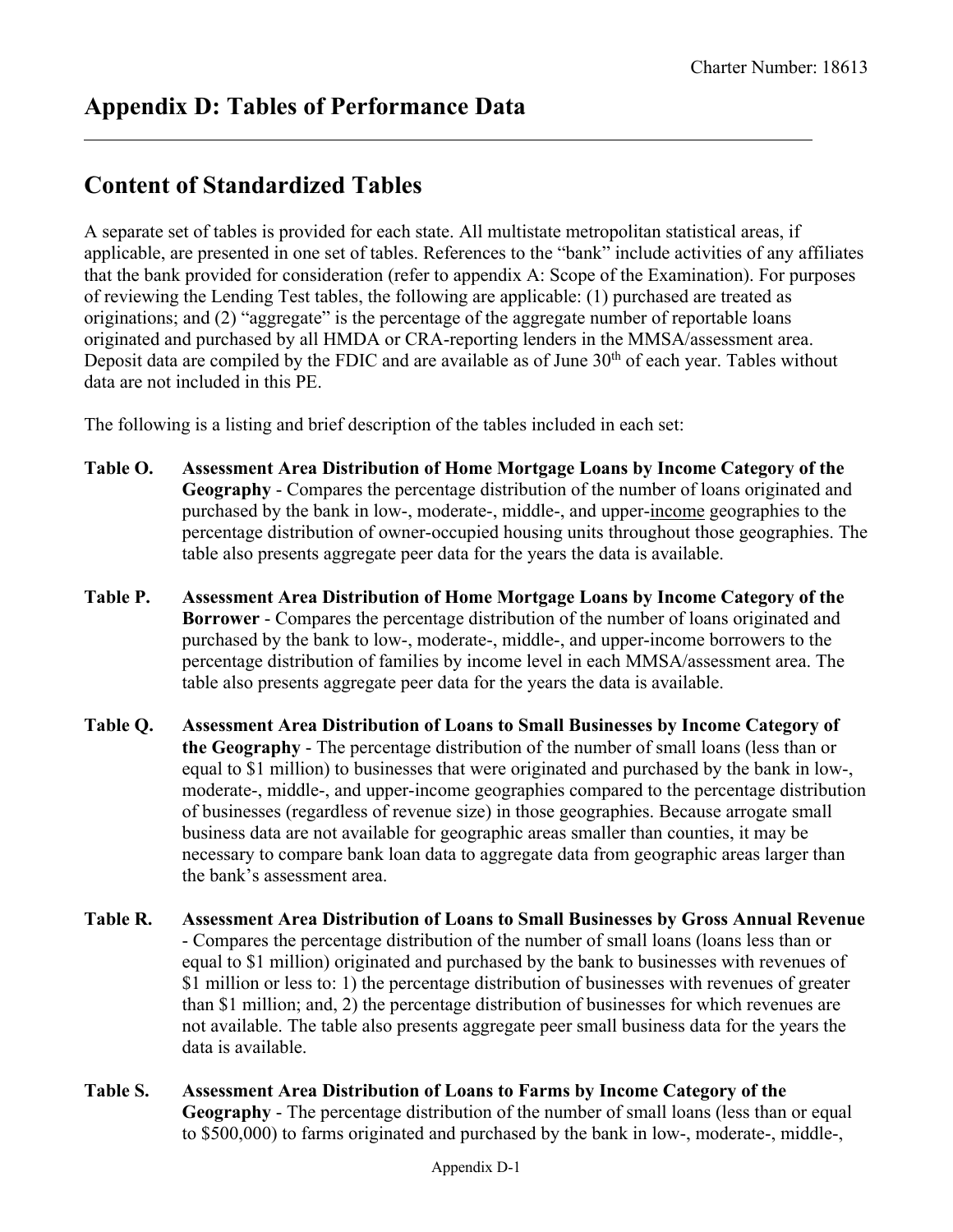## **Content of Standardized Tables**

A separate set of tables is provided for each state. All multistate metropolitan statistical areas, if applicable, are presented in one set of tables. References to the "bank" include activities of any affiliates that the bank provided for consideration (refer to appendix A: Scope of the Examination). For purposes of reviewing the Lending Test tables, the following are applicable: (1) purchased are treated as originations; and (2) "aggregate" is the percentage of the aggregate number of reportable loans originated and purchased by all HMDA or CRA-reporting lenders in the MMSA/assessment area. Deposit data are compiled by the FDIC and are available as of June  $30<sup>th</sup>$  of each year. Tables without data are not included in this PE.

The following is a listing and brief description of the tables included in each set:

- **Table O. Assessment Area Distribution of Home Mortgage Loans by Income Category of the Geography** - Compares the percentage distribution of the number of loans originated and purchased by the bank in low-, moderate-, middle-, and upper-income geographies to the percentage distribution of owner-occupied housing units throughout those geographies. The table also presents aggregate peer data for the years the data is available.
- **Table P. Assessment Area Distribution of Home Mortgage Loans by Income Category of the Borrower** - Compares the percentage distribution of the number of loans originated and purchased by the bank to low-, moderate-, middle-, and upper-income borrowers to the percentage distribution of families by income level in each MMSA/assessment area. The table also presents aggregate peer data for the years the data is available.
- **Table Q. Assessment Area Distribution of Loans to Small Businesses by Income Category of the Geography** - The percentage distribution of the number of small loans (less than or equal to \$1 million) to businesses that were originated and purchased by the bank in low-, moderate-, middle-, and upper-income geographies compared to the percentage distribution of businesses (regardless of revenue size) in those geographies. Because arrogate small business data are not available for geographic areas smaller than counties, it may be necessary to compare bank loan data to aggregate data from geographic areas larger than the bank's assessment area.
- **Table R. Assessment Area Distribution of Loans to Small Businesses by Gross Annual Revenue**  - Compares the percentage distribution of the number of small loans (loans less than or equal to \$1 million) originated and purchased by the bank to businesses with revenues of \$1 million or less to: 1) the percentage distribution of businesses with revenues of greater than \$1 million; and, 2) the percentage distribution of businesses for which revenues are not available. The table also presents aggregate peer small business data for the years the data is available.
- **Table S. Assessment Area Distribution of Loans to Farms by Income Category of the Geography** - The percentage distribution of the number of small loans (less than or equal to \$500,000) to farms originated and purchased by the bank in low-, moderate-, middle-,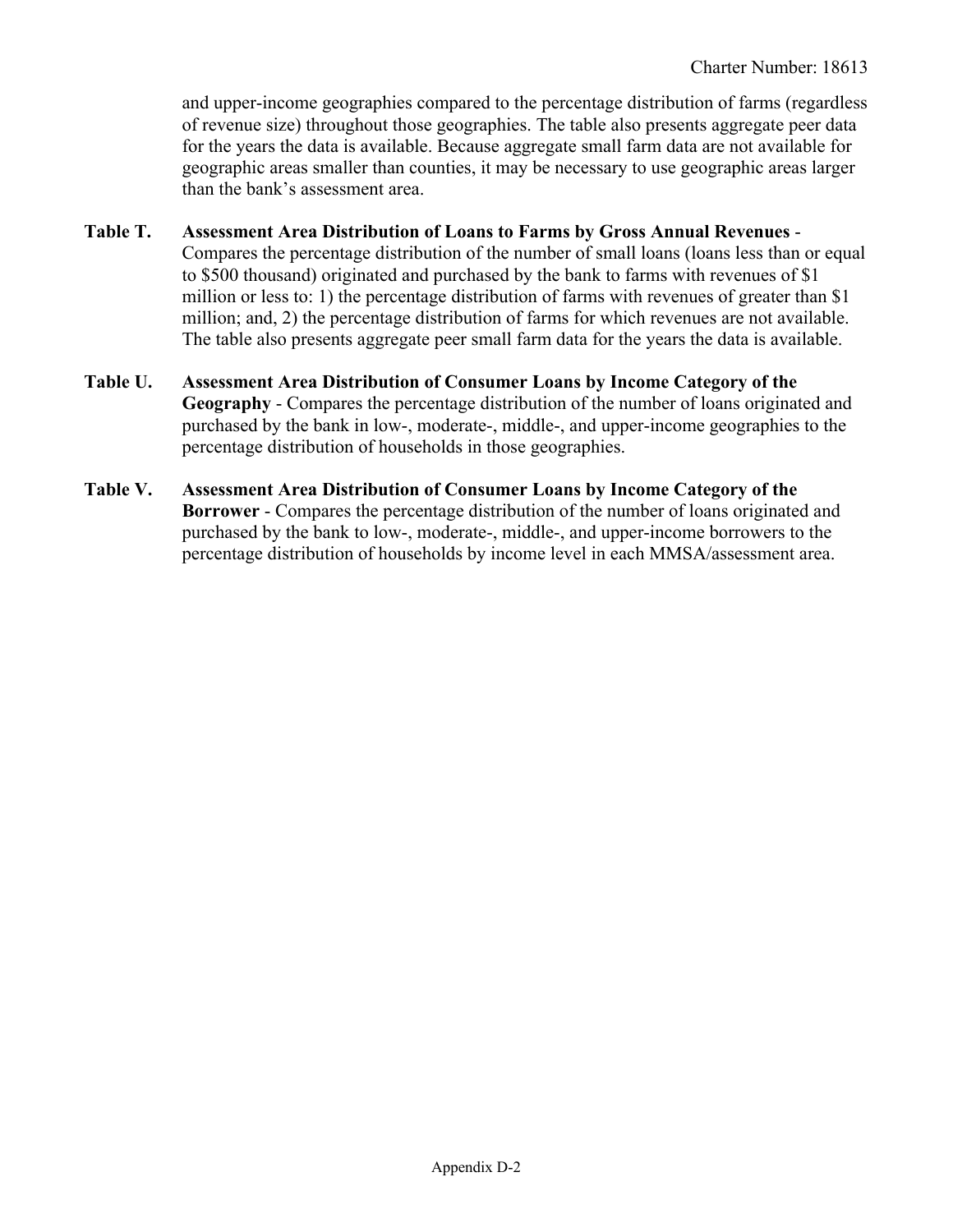and upper-income geographies compared to the percentage distribution of farms (regardless of revenue size) throughout those geographies. The table also presents aggregate peer data for the years the data is available. Because aggregate small farm data are not available for geographic areas smaller than counties, it may be necessary to use geographic areas larger than the bank's assessment area.

- **Table T. Assessment Area Distribution of Loans to Farms by Gross Annual Revenues**  Compares the percentage distribution of the number of small loans (loans less than or equal to \$500 thousand) originated and purchased by the bank to farms with revenues of \$1 million or less to: 1) the percentage distribution of farms with revenues of greater than \$1 million; and, 2) the percentage distribution of farms for which revenues are not available. The table also presents aggregate peer small farm data for the years the data is available.
- **Table U. Assessment Area Distribution of Consumer Loans by Income Category of the Geography** - Compares the percentage distribution of the number of loans originated and purchased by the bank in low-, moderate-, middle-, and upper-income geographies to the percentage distribution of households in those geographies.
- percentage distribution of households by income level in each MMSA/assessment area. **Table V. Assessment Area Distribution of Consumer Loans by Income Category of the Borrower** - Compares the percentage distribution of the number of loans originated and purchased by the bank to low-, moderate-, middle-, and upper-income borrowers to the percentage distribution of households by income level in each MMSA/assessment area.<br>
Appendix D-2